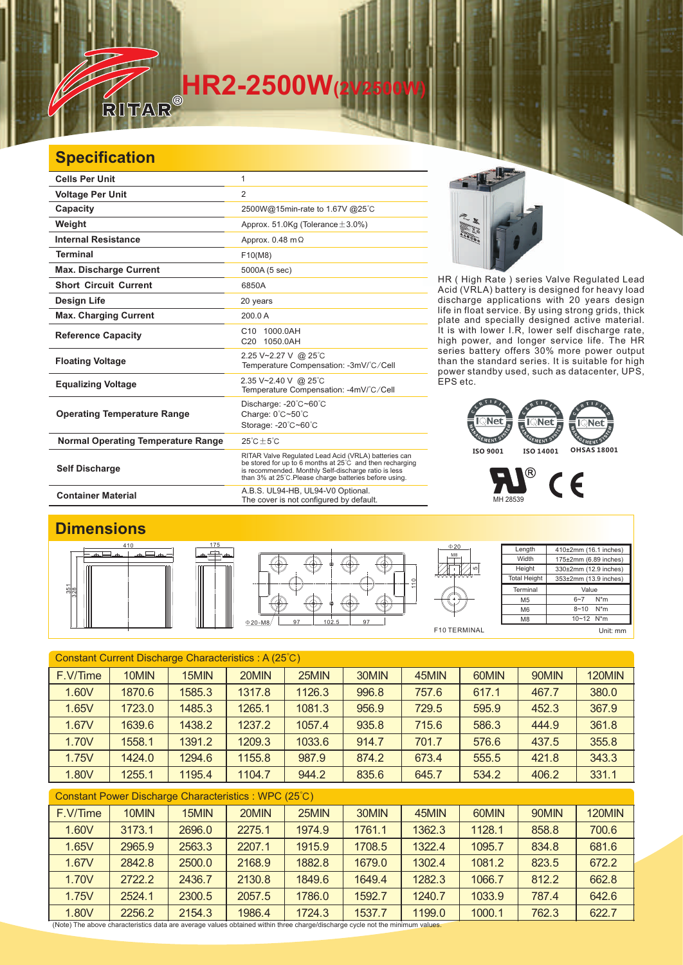# **HR2-2500W(2V2500W)**

#### **Specification**

| <b>Cells Per Unit</b>                     | 1                                                                                                                                                                                                                                  |  |  |  |
|-------------------------------------------|------------------------------------------------------------------------------------------------------------------------------------------------------------------------------------------------------------------------------------|--|--|--|
| <b>Voltage Per Unit</b>                   | $\overline{2}$                                                                                                                                                                                                                     |  |  |  |
| Capacity                                  | 2500W@15min-rate to 1.67V @25°C                                                                                                                                                                                                    |  |  |  |
| Weight                                    | Approx. 51.0Kg (Tolerance $\pm$ 3.0%)                                                                                                                                                                                              |  |  |  |
| <b>Internal Resistance</b>                | Approx. $0.48$ m $\Omega$                                                                                                                                                                                                          |  |  |  |
| <b>Terminal</b>                           | F10(M8)                                                                                                                                                                                                                            |  |  |  |
| <b>Max. Discharge Current</b>             | 5000A (5 sec)                                                                                                                                                                                                                      |  |  |  |
| <b>Short Circuit Current</b>              | 6850A                                                                                                                                                                                                                              |  |  |  |
| Design Life                               | 20 years                                                                                                                                                                                                                           |  |  |  |
| <b>Max. Charging Current</b>              | 200.0 A                                                                                                                                                                                                                            |  |  |  |
| <b>Reference Capacity</b>                 | 1000.0AH<br>C <sub>10</sub><br>C20 1050.0AH                                                                                                                                                                                        |  |  |  |
| <b>Floating Voltage</b>                   | 2.25 V~2.27 V @ 25°C<br>Temperature Compensation: -3mV/°C/Cell                                                                                                                                                                     |  |  |  |
| <b>Equalizing Voltage</b>                 | 2.35 V~2.40 V @ 25°C<br>Temperature Compensation: -4mV/°C/Cell                                                                                                                                                                     |  |  |  |
| <b>Operating Temperature Range</b>        | Discharge: -20°C~60°C<br>Charge: 0°C~50°C<br>Storage: -20°C~60°C                                                                                                                                                                   |  |  |  |
| <b>Normal Operating Temperature Range</b> | $25^{\circ}$ C + 5 $^{\circ}$ C                                                                                                                                                                                                    |  |  |  |
| <b>Self Discharge</b>                     | RITAR Valve Regulated Lead Acid (VRLA) batteries can<br>be stored for up to 6 months at 25°C and then recharging<br>is recommended. Monthly Self-discharge ratio is less<br>than 3% at 25°C. Please charge batteries before using. |  |  |  |

**Container Material** Material Container Material A.B.S. UL94-HB, UL94-V0 Optional.<br>The cover is not configured by default.

#### **Dimensions**









| Length              | 410±2mm (16.1 inches)     |  |  |  |  |
|---------------------|---------------------------|--|--|--|--|
| Width               | 175±2mm (6.89 inches)     |  |  |  |  |
| Height              | 330±2mm (12.9 inches)     |  |  |  |  |
| <b>Total Height</b> | 353±2mm (13.9 inches)     |  |  |  |  |
| Terminal            | Value                     |  |  |  |  |
| M <sub>5</sub>      | $N^*m$<br>$6 - 7$         |  |  |  |  |
| M <sub>6</sub>      | $8 - 10$ N <sup>*</sup> m |  |  |  |  |
| M <sub>8</sub>      | 10~12 N*m                 |  |  |  |  |
|                     | Unit: mm                  |  |  |  |  |

| Constant Current Discharge Characteristics : A (25°C) |        |        |        |        |       |       |       |       |        |
|-------------------------------------------------------|--------|--------|--------|--------|-------|-------|-------|-------|--------|
| F.V/Time                                              | 10MIN  | 15MIN  | 20MIN  | 25MIN  | 30MIN | 45MIN | 60MIN | 90MIN | 120MIN |
| 1.60V                                                 | 1870.6 | 1585.3 | 1317.8 | 1126.3 | 996.8 | 757.6 | 617.1 | 467.7 | 380.0  |
| 1.65V                                                 | 1723.0 | 1485.3 | 1265.1 | 1081.3 | 956.9 | 729.5 | 595.9 | 452.3 | 367.9  |
| 1.67V                                                 | 1639.6 | 1438.2 | 1237.2 | 1057.4 | 935.8 | 715.6 | 586.3 | 444.9 | 361.8  |
| 1.70V                                                 | 1558.1 | 1391.2 | 1209.3 | 1033.6 | 914.7 | 701.7 | 576.6 | 437.5 | 355.8  |
| 1.75V                                                 | 1424.0 | 1294.6 | 1155.8 | 987.9  | 874.2 | 673.4 | 555.5 | 421.8 | 343.3  |
| 1.80V                                                 | 1255.1 | 1195.4 | 1104.7 | 944.2  | 835.6 | 645.7 | 534.2 | 406.2 | 331.1  |
| Constant Power Discharge Characteristics: WPC (25°C)  |        |        |        |        |       |       |       |       |        |

| F.V/Time | 10MIN  | 15MIN  | 20MIN  | 25MIN  | 30MIN  | 45MIN  | 60MIN  | 90MIN | <b>120MIN</b> |
|----------|--------|--------|--------|--------|--------|--------|--------|-------|---------------|
| 1.60V    | 3173.1 | 2696.0 | 2275.1 | 1974.9 | 1761.1 | 1362.3 | 1128.1 | 858.8 | 700.6         |
| 1.65V    | 2965.9 | 2563.3 | 2207.1 | 1915.9 | 1708.5 | 1322.4 | 1095.7 | 834.8 | 681.6         |
| 1.67V    | 2842.8 | 2500.0 | 2168.9 | 1882.8 | 1679.0 | 1302.4 | 1081.2 | 823.5 | 672.2         |
| 1.70V    | 2722.2 | 2436.7 | 2130.8 | 1849.6 | 1649.4 | 1282.3 | 1066.7 | 812.2 | 662.8         |
| 1.75V    | 2524.1 | 2300.5 | 2057.5 | 1786.0 | 1592.7 | 1240.7 | 1033.9 | 787.4 | 642.6         |
| 1.80V    | 2256.2 | 2154.3 | 1986.4 | 1724.3 | 1537.7 | 1199.0 | 1000.1 | 762.3 | 622.7         |

(Note) The above characteristics data are average values obtained within three charge/discharge cycle not the minimum values.



discharge applications with 20 years design life in float service. By using strong grids, and specially designed active material. It is with lower I.R, lower self discharge rate, high power, and longer service life. The HR series battery offers 30% more power output than the standard series. It is suitable for high power standby used, such as datacenter, UPS, EPS etc. thick plate

### MENT FMENT<sup>e</sup> **ISO 9001 ISO 14001 OHSAS 18001**